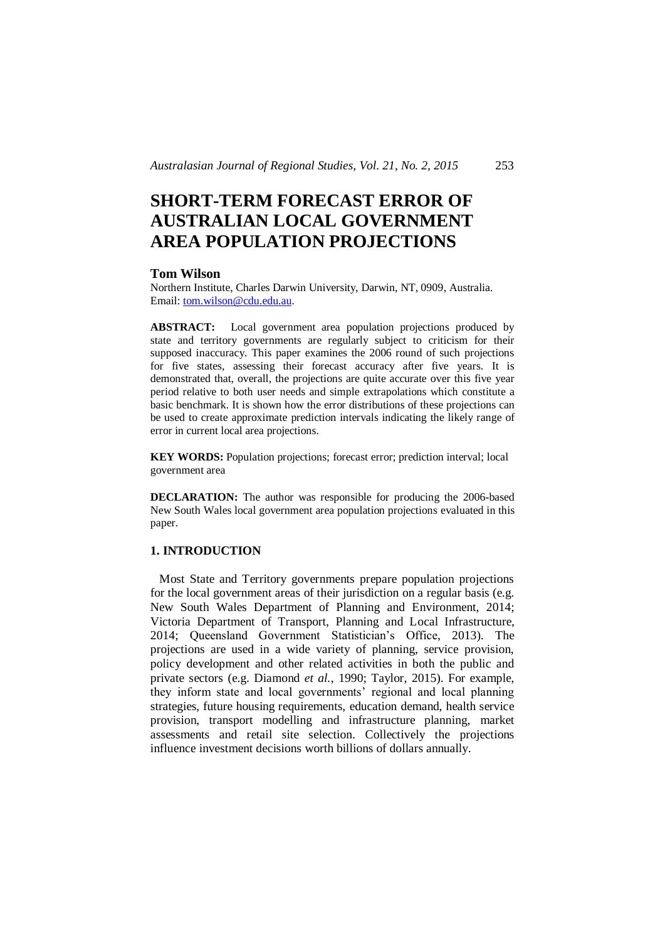# **SHORT-TERM FORECAST ERROR OF AUSTRALIAN LOCAL GOVERNMENT AREA POPULATION PROJECTIONS**

#### **Tom Wilson**

Northern Institute, Charles Darwin University, Darwin, NT, 0909, Australia. Email: tom.wilson@cdu.edu.au.

**ABSTRACT:** Local government area population projections produced by state and territory governments are regularly subject to criticism for their supposed inaccuracy. This paper examines the 2006 round of such projections for five states, assessing their forecast accuracy after five years. It is demonstrated that, overall, the projections are quite accurate over this five year period relative to both user needs and simple extrapolations which constitute a basic benchmark. It is shown how the error distributions of these projections can be used to create approximate prediction intervals indicating the likely range of error in current local area projections.

**KEY WORDS:** Population projections; forecast error; prediction interval; local government area

**DECLARATION:** The author was responsible for producing the 2006-based New South Wales local government area population projections evaluated in this paper.

# **1. INTRODUCTION**

 Most State and Territory governments prepare population projections for the local government areas of their jurisdiction on a regular basis (e.g. New South Wales Department of Planning and Environment, 2014; Victoria Department of Transport, Planning and Local Infrastructure, 2014; Queensland Government Statistician's Office, 2013). The projections are used in a wide variety of planning, service provision, policy development and other related activities in both the public and private sectors (e.g. Diamond *et al.*, 1990; Taylor, 2015). For example, they inform state and local governments' regional and local planning strategies, future housing requirements, education demand, health service provision, transport modelling and infrastructure planning, market assessments and retail site selection. Collectively the projections influence investment decisions worth billions of dollars annually.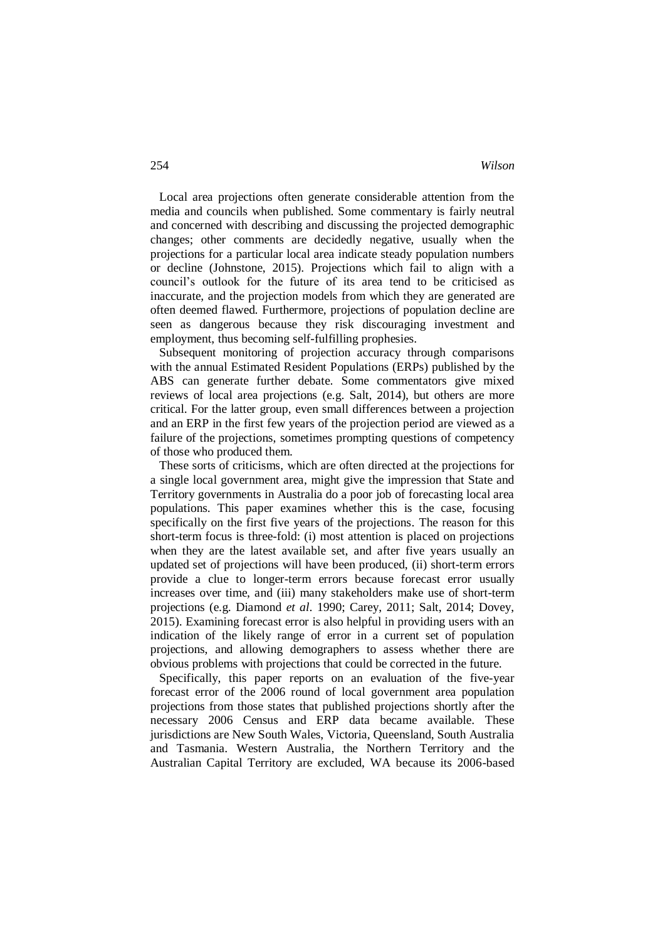Local area projections often generate considerable attention from the media and councils when published. Some commentary is fairly neutral and concerned with describing and discussing the projected demographic changes; other comments are decidedly negative, usually when the projections for a particular local area indicate steady population numbers or decline (Johnstone, 2015). Projections which fail to align with a council's outlook for the future of its area tend to be criticised as inaccurate, and the projection models from which they are generated are often deemed flawed. Furthermore, projections of population decline are seen as dangerous because they risk discouraging investment and employment, thus becoming self-fulfilling prophesies.

 Subsequent monitoring of projection accuracy through comparisons with the annual Estimated Resident Populations (ERPs) published by the ABS can generate further debate. Some commentators give mixed reviews of local area projections (e.g. Salt, 2014), but others are more critical. For the latter group, even small differences between a projection and an ERP in the first few years of the projection period are viewed as a failure of the projections, sometimes prompting questions of competency of those who produced them.

 These sorts of criticisms, which are often directed at the projections for a single local government area, might give the impression that State and Territory governments in Australia do a poor job of forecasting local area populations. This paper examines whether this is the case, focusing specifically on the first five years of the projections. The reason for this short-term focus is three-fold: (i) most attention is placed on projections when they are the latest available set, and after five years usually an updated set of projections will have been produced, (ii) short-term errors provide a clue to longer-term errors because forecast error usually increases over time, and (iii) many stakeholders make use of short-term projections (e.g. Diamond *et al*. 1990; Carey, 2011; Salt, 2014; Dovey, 2015). Examining forecast error is also helpful in providing users with an indication of the likely range of error in a current set of population projections, and allowing demographers to assess whether there are obvious problems with projections that could be corrected in the future.

 Specifically, this paper reports on an evaluation of the five-year forecast error of the 2006 round of local government area population projections from those states that published projections shortly after the necessary 2006 Census and ERP data became available. These jurisdictions are New South Wales, Victoria, Queensland, South Australia and Tasmania. Western Australia, the Northern Territory and the Australian Capital Territory are excluded, WA because its 2006-based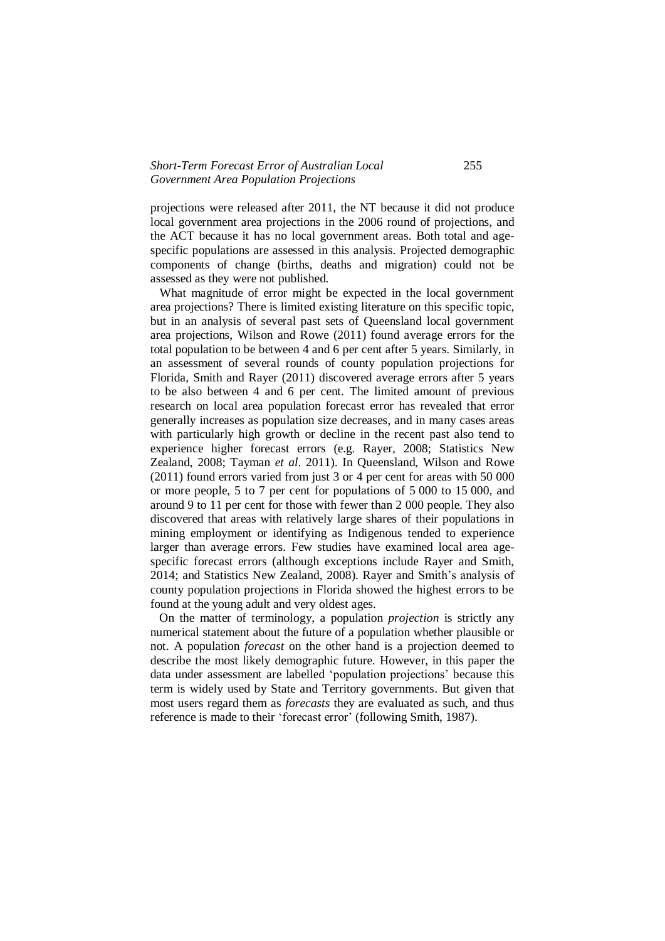## *Short-Term Forecast Error of Australian Local* 255 *Government Area Population Projections*

projections were released after 2011, the NT because it did not produce local government area projections in the 2006 round of projections, and the ACT because it has no local government areas. Both total and agespecific populations are assessed in this analysis. Projected demographic components of change (births, deaths and migration) could not be assessed as they were not published.

 What magnitude of error might be expected in the local government area projections? There is limited existing literature on this specific topic, but in an analysis of several past sets of Queensland local government area projections, Wilson and Rowe (2011) found average errors for the total population to be between 4 and 6 per cent after 5 years. Similarly, in an assessment of several rounds of county population projections for Florida, Smith and Rayer (2011) discovered average errors after 5 years to be also between 4 and 6 per cent. The limited amount of previous research on local area population forecast error has revealed that error generally increases as population size decreases, and in many cases areas with particularly high growth or decline in the recent past also tend to experience higher forecast errors (e.g. Rayer, 2008; Statistics New Zealand, 2008; Tayman *et al*. 2011). In Queensland, Wilson and Rowe (2011) found errors varied from just 3 or 4 per cent for areas with 50 000 or more people, 5 to 7 per cent for populations of 5 000 to 15 000, and around 9 to 11 per cent for those with fewer than 2 000 people. They also discovered that areas with relatively large shares of their populations in mining employment or identifying as Indigenous tended to experience larger than average errors. Few studies have examined local area agespecific forecast errors (although exceptions include Rayer and Smith, 2014; and Statistics New Zealand, 2008). Rayer and Smith's analysis of county population projections in Florida showed the highest errors to be found at the young adult and very oldest ages.

 On the matter of terminology, a population *projection* is strictly any numerical statement about the future of a population whether plausible or not. A population *forecast* on the other hand is a projection deemed to describe the most likely demographic future. However, in this paper the data under assessment are labelled 'population projections' because this term is widely used by State and Territory governments. But given that most users regard them as *forecasts* they are evaluated as such, and thus reference is made to their 'forecast error' (following Smith, 1987).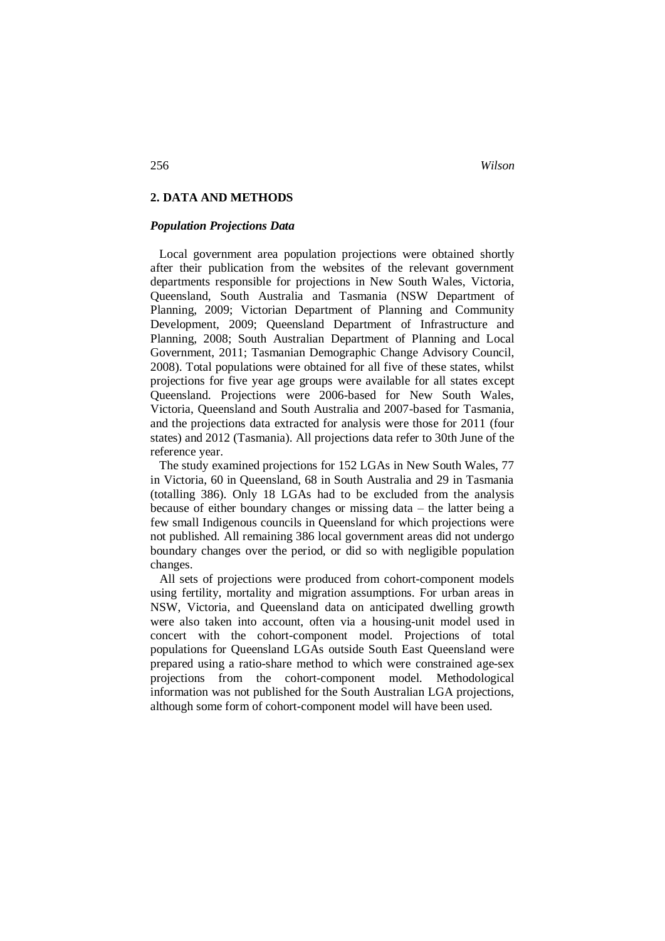# **2. DATA AND METHODS**

#### *Population Projections Data*

 Local government area population projections were obtained shortly after their publication from the websites of the relevant government departments responsible for projections in New South Wales, Victoria, Queensland, South Australia and Tasmania (NSW Department of Planning, 2009; Victorian Department of Planning and Community Development, 2009; Queensland Department of Infrastructure and Planning, 2008; South Australian Department of Planning and Local Government, 2011; Tasmanian Demographic Change Advisory Council, 2008). Total populations were obtained for all five of these states, whilst projections for five year age groups were available for all states except Queensland. Projections were 2006-based for New South Wales, Victoria, Queensland and South Australia and 2007-based for Tasmania, and the projections data extracted for analysis were those for 2011 (four states) and 2012 (Tasmania). All projections data refer to 30th June of the reference year.

 The study examined projections for 152 LGAs in New South Wales, 77 in Victoria, 60 in Queensland, 68 in South Australia and 29 in Tasmania (totalling 386). Only 18 LGAs had to be excluded from the analysis because of either boundary changes or missing data – the latter being a few small Indigenous councils in Queensland for which projections were not published. All remaining 386 local government areas did not undergo boundary changes over the period, or did so with negligible population changes.

 All sets of projections were produced from cohort-component models using fertility, mortality and migration assumptions. For urban areas in NSW, Victoria, and Queensland data on anticipated dwelling growth were also taken into account, often via a housing-unit model used in concert with the cohort-component model. Projections of total populations for Queensland LGAs outside South East Queensland were prepared using a ratio-share method to which were constrained age-sex projections from the cohort-component model. Methodological information was not published for the South Australian LGA projections, although some form of cohort-component model will have been used.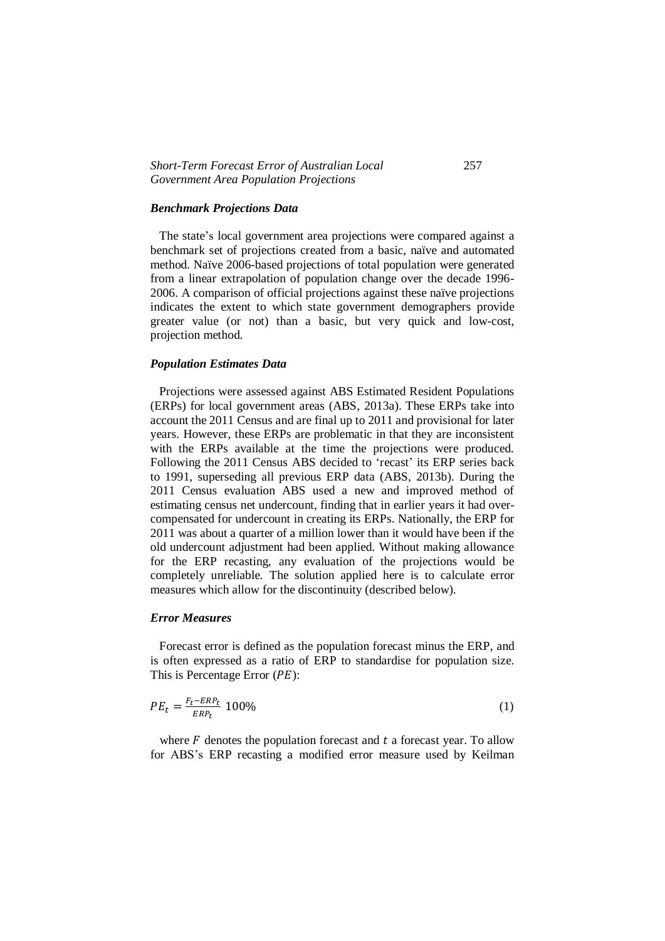## *Short-Term Forecast Error of Australian Local* 257 *Government Area Population Projections*

#### *Benchmark Projections Data*

 The state's local government area projections were compared against a benchmark set of projections created from a basic, naïve and automated method. Naïve 2006-based projections of total population were generated from a linear extrapolation of population change over the decade 1996- 2006. A comparison of official projections against these naïve projections indicates the extent to which state government demographers provide greater value (or not) than a basic, but very quick and low-cost, projection method.

#### *Population Estimates Data*

 Projections were assessed against ABS Estimated Resident Populations (ERPs) for local government areas (ABS, 2013a). These ERPs take into account the 2011 Census and are final up to 2011 and provisional for later years. However, these ERPs are problematic in that they are inconsistent with the ERPs available at the time the projections were produced. Following the 2011 Census ABS decided to 'recast' its ERP series back to 1991, superseding all previous ERP data (ABS, 2013b). During the 2011 Census evaluation ABS used a new and improved method of estimating census net undercount, finding that in earlier years it had overcompensated for undercount in creating its ERPs. Nationally, the ERP for 2011 was about a quarter of a million lower than it would have been if the old undercount adjustment had been applied. Without making allowance for the ERP recasting, any evaluation of the projections would be completely unreliable. The solution applied here is to calculate error measures which allow for the discontinuity (described below).

# *Error Measures*

 Forecast error is defined as the population forecast minus the ERP, and is often expressed as a ratio of ERP to standardise for population size. This is Percentage Error  $(PE)$ :

$$
PE_t = \frac{F_t - ERP_t}{ERP_t} 100\%
$$
\n<sup>(1)</sup>

where  $F$  denotes the population forecast and  $t$  a forecast year. To allow for ABS's ERP recasting a modified error measure used by Keilman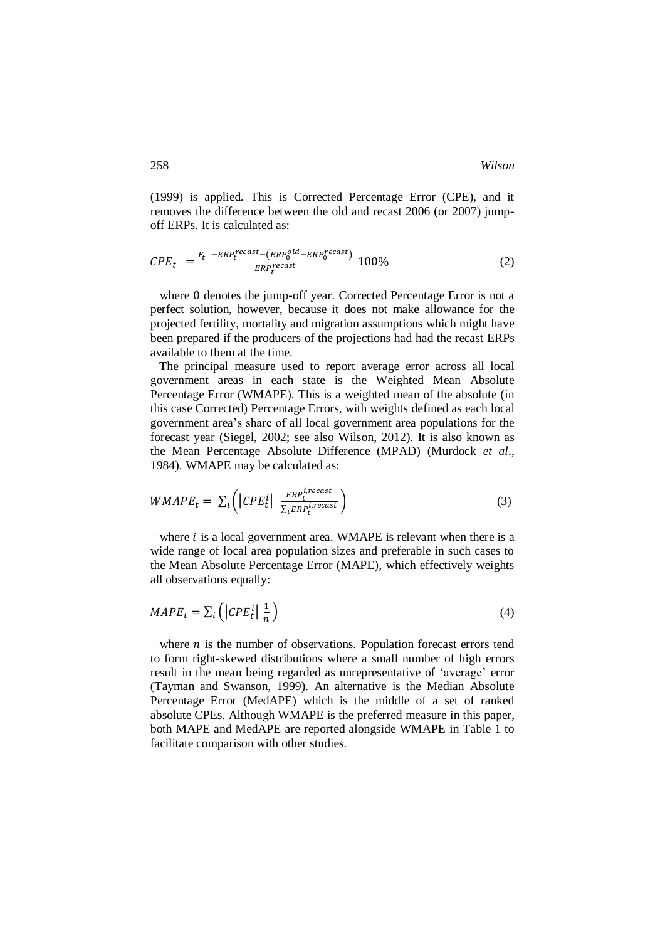(1999) is applied. This is Corrected Percentage Error (CPE), and it removes the difference between the old and recast 2006 (or 2007) jumpoff ERPs. It is calculated as:

$$
CPE_t = \frac{F_t - ERP_t^{recast} - (ERP_0^{old} - ERP_0^{recast})}{ERP_t^{recast}} 100\%
$$
 (2)

 where 0 denotes the jump-off year. Corrected Percentage Error is not a perfect solution, however, because it does not make allowance for the projected fertility, mortality and migration assumptions which might have been prepared if the producers of the projections had had the recast ERPs available to them at the time.

 The principal measure used to report average error across all local government areas in each state is the Weighted Mean Absolute Percentage Error (WMAPE). This is a weighted mean of the absolute (in this case Corrected) Percentage Errors, with weights defined as each local government area's share of all local government area populations for the forecast year (Siegel, 2002; see also Wilson, 2012). It is also known as the Mean Percentage Absolute Difference (MPAD) (Murdock *et al*., 1984). WMAPE may be calculated as:

$$
WMAPE_t = \sum_i \left( |CPE_t^i| \frac{ERP_t^{i, recast}}{\sum_i ERP_t^{i, recast}} \right) \tag{3}
$$

where  $i$  is a local government area. WMAPE is relevant when there is a wide range of local area population sizes and preferable in such cases to the Mean Absolute Percentage Error (MAPE), which effectively weights all observations equally:

$$
MAPE_t = \sum_i \left( \left| CPE_t^i \right| \frac{1}{n} \right) \tag{4}
$$

where  $n$  is the number of observations. Population forecast errors tend to form right-skewed distributions where a small number of high errors result in the mean being regarded as unrepresentative of 'average' error (Tayman and Swanson, 1999). An alternative is the Median Absolute Percentage Error (MedAPE) which is the middle of a set of ranked absolute CPEs. Although WMAPE is the preferred measure in this paper, both MAPE and MedAPE are reported alongside WMAPE in Table 1 to facilitate comparison with other studies.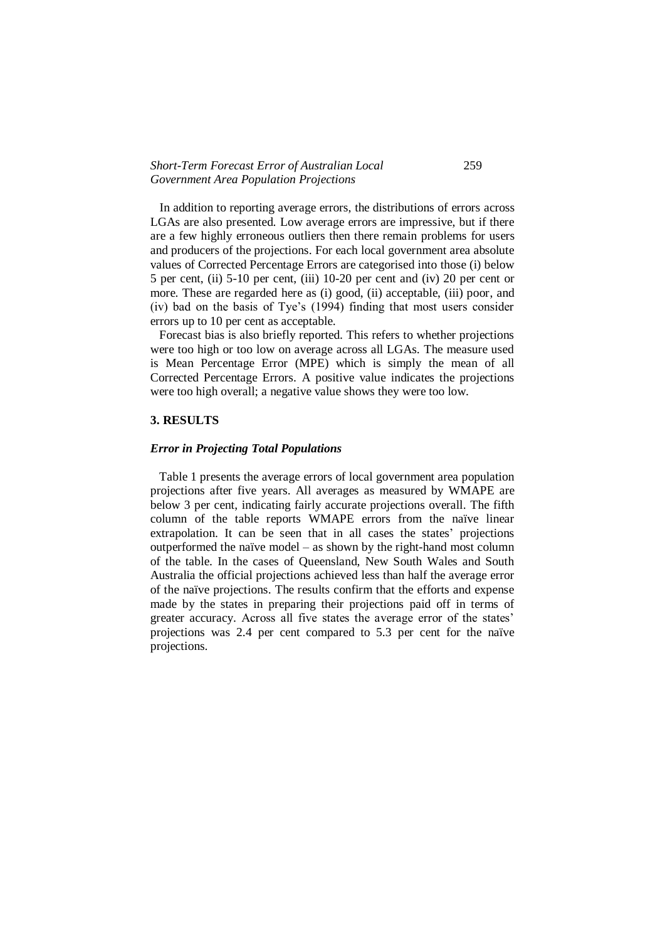### *Short-Term Forecast Error of Australian Local* 259 *Government Area Population Projections*

 In addition to reporting average errors, the distributions of errors across LGAs are also presented. Low average errors are impressive, but if there are a few highly erroneous outliers then there remain problems for users and producers of the projections. For each local government area absolute values of Corrected Percentage Errors are categorised into those (i) below 5 per cent, (ii) 5-10 per cent, (iii) 10-20 per cent and (iv) 20 per cent or more. These are regarded here as (i) good, (ii) acceptable, (iii) poor, and (iv) bad on the basis of Tye's (1994) finding that most users consider errors up to 10 per cent as acceptable.

 Forecast bias is also briefly reported. This refers to whether projections were too high or too low on average across all LGAs. The measure used is Mean Percentage Error (MPE) which is simply the mean of all Corrected Percentage Errors. A positive value indicates the projections were too high overall; a negative value shows they were too low.

# **3. RESULTS**

#### *Error in Projecting Total Populations*

 Table 1 presents the average errors of local government area population projections after five years. All averages as measured by WMAPE are below 3 per cent, indicating fairly accurate projections overall. The fifth column of the table reports WMAPE errors from the naïve linear extrapolation. It can be seen that in all cases the states' projections outperformed the naïve model – as shown by the right-hand most column of the table. In the cases of Queensland, New South Wales and South Australia the official projections achieved less than half the average error of the naïve projections. The results confirm that the efforts and expense made by the states in preparing their projections paid off in terms of greater accuracy. Across all five states the average error of the states' projections was 2.4 per cent compared to 5.3 per cent for the naïve projections.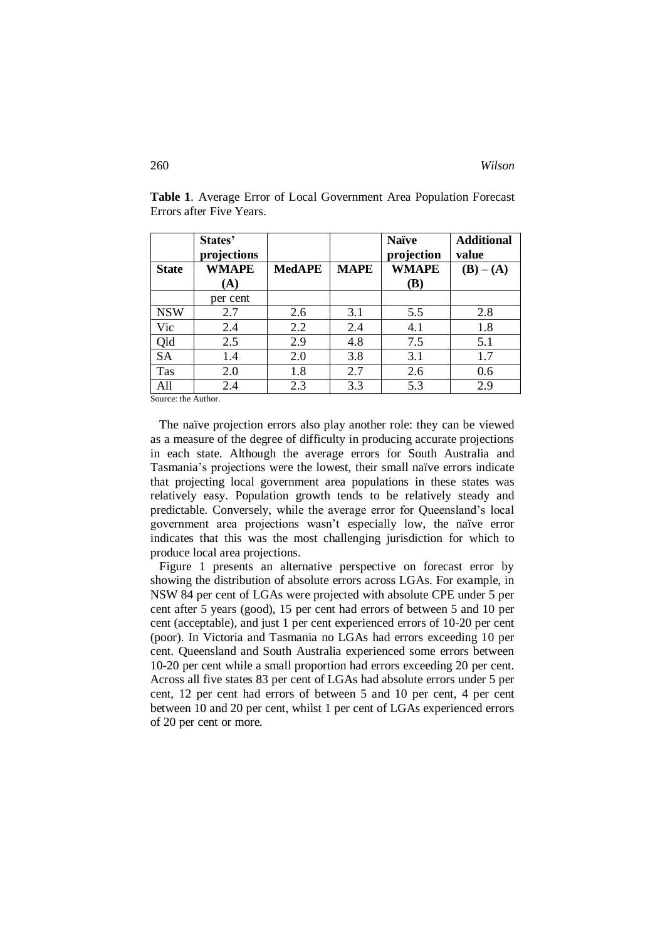|                      | States'<br>projections           |               |             | <b>Naïve</b><br>projection | <b>Additional</b><br>value    |
|----------------------|----------------------------------|---------------|-------------|----------------------------|-------------------------------|
| <b>State</b>         | <b>WMAPE</b><br>(A)              | <b>MedAPE</b> | <b>MAPE</b> | <b>WMAPE</b><br><b>(B)</b> | $(\mathbf{B}) - (\mathbf{A})$ |
|                      | per cent                         |               |             |                            |                               |
| <b>NSW</b>           | 2.7                              | 2.6           | 3.1         | 5.5                        | 2.8                           |
| Vic                  | 2.4                              | 2.2           | 2.4         | 4.1                        | 1.8                           |
| Qld                  | 2.5                              | 2.9           | 4.8         | 7.5                        | 5.1                           |
| <b>SA</b>            | 1.4                              | 2.0           | 3.8         | 3.1                        | 1.7                           |
| Tas                  | 2.0                              | 1.8           | 2.7         | 2.6                        | 0.6                           |
| A11<br>$\sim$ $\sim$ | 2.4<br>$\mathbf{1}$ $\mathbf{1}$ | 2.3           | 3.3         | 5.3                        | 2.9                           |

**Table 1**. Average Error of Local Government Area Population Forecast Errors after Five Years.

Source: the Author.

 The naïve projection errors also play another role: they can be viewed as a measure of the degree of difficulty in producing accurate projections in each state. Although the average errors for South Australia and Tasmania's projections were the lowest, their small naïve errors indicate that projecting local government area populations in these states was relatively easy. Population growth tends to be relatively steady and predictable. Conversely, while the average error for Queensland's local government area projections wasn't especially low, the naïve error indicates that this was the most challenging jurisdiction for which to produce local area projections.

 Figure 1 presents an alternative perspective on forecast error by showing the distribution of absolute errors across LGAs. For example, in NSW 84 per cent of LGAs were projected with absolute CPE under 5 per cent after 5 years (good), 15 per cent had errors of between 5 and 10 per cent (acceptable), and just 1 per cent experienced errors of 10-20 per cent (poor). In Victoria and Tasmania no LGAs had errors exceeding 10 per cent. Queensland and South Australia experienced some errors between 10-20 per cent while a small proportion had errors exceeding 20 per cent. Across all five states 83 per cent of LGAs had absolute errors under 5 per cent, 12 per cent had errors of between 5 and 10 per cent, 4 per cent between 10 and 20 per cent, whilst 1 per cent of LGAs experienced errors of 20 per cent or more.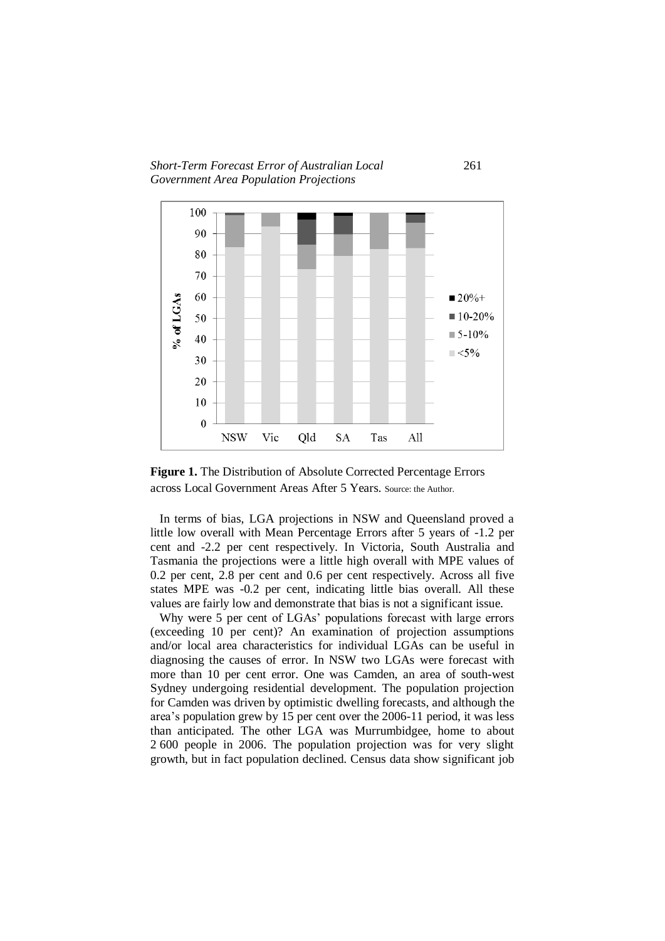*Short-Term Forecast Error of Australian Local* 261 *Government Area Population Projections*



**Figure 1.** The Distribution of Absolute Corrected Percentage Errors across Local Government Areas After 5 Years. Source: the Author.

 In terms of bias, LGA projections in NSW and Queensland proved a little low overall with Mean Percentage Errors after 5 years of -1.2 per cent and -2.2 per cent respectively. In Victoria, South Australia and Tasmania the projections were a little high overall with MPE values of 0.2 per cent, 2.8 per cent and 0.6 per cent respectively. Across all five states MPE was -0.2 per cent, indicating little bias overall. All these values are fairly low and demonstrate that bias is not a significant issue.

Why were 5 per cent of LGAs' populations forecast with large errors (exceeding 10 per cent)? An examination of projection assumptions and/or local area characteristics for individual LGAs can be useful in diagnosing the causes of error. In NSW two LGAs were forecast with more than 10 per cent error. One was Camden, an area of south-west Sydney undergoing residential development. The population projection for Camden was driven by optimistic dwelling forecasts, and although the area's population grew by 15 per cent over the 2006-11 period, it was less than anticipated. The other LGA was Murrumbidgee, home to about 2 600 people in 2006. The population projection was for very slight growth, but in fact population declined. Census data show significant job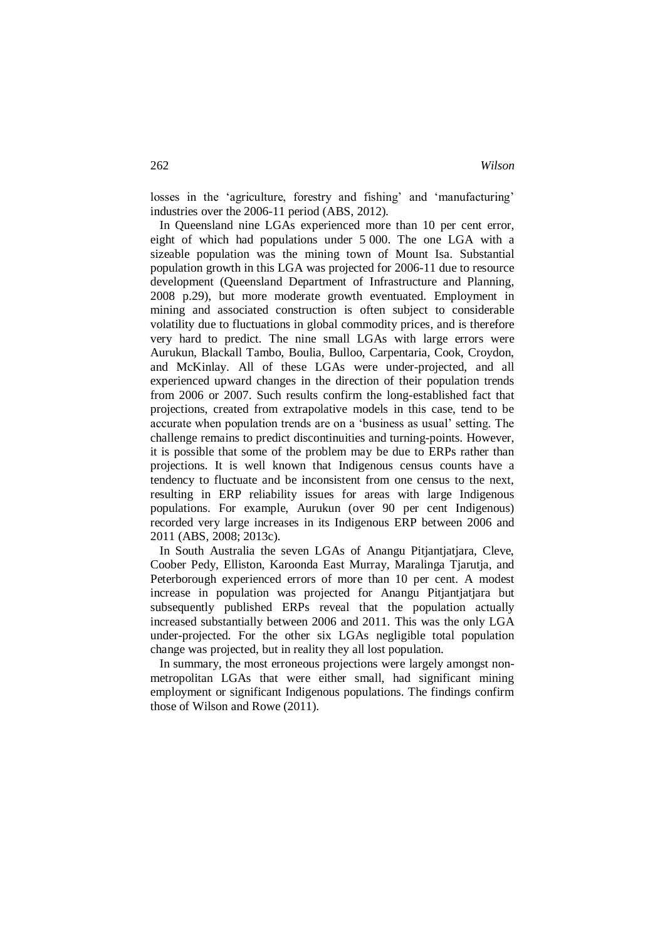losses in the 'agriculture, forestry and fishing' and 'manufacturing' industries over the 2006-11 period (ABS, 2012).

 In Queensland nine LGAs experienced more than 10 per cent error, eight of which had populations under 5 000. The one LGA with a sizeable population was the mining town of Mount Isa. Substantial population growth in this LGA was projected for 2006-11 due to resource development (Queensland Department of Infrastructure and Planning, 2008 p.29), but more moderate growth eventuated. Employment in mining and associated construction is often subject to considerable volatility due to fluctuations in global commodity prices, and is therefore very hard to predict. The nine small LGAs with large errors were Aurukun, Blackall Tambo, Boulia, Bulloo, Carpentaria, Cook, Croydon, and McKinlay. All of these LGAs were under-projected, and all experienced upward changes in the direction of their population trends from 2006 or 2007. Such results confirm the long-established fact that projections, created from extrapolative models in this case, tend to be accurate when population trends are on a 'business as usual' setting. The challenge remains to predict discontinuities and turning-points. However, it is possible that some of the problem may be due to ERPs rather than projections. It is well known that Indigenous census counts have a tendency to fluctuate and be inconsistent from one census to the next, resulting in ERP reliability issues for areas with large Indigenous populations. For example, Aurukun (over 90 per cent Indigenous) recorded very large increases in its Indigenous ERP between 2006 and 2011 (ABS, 2008; 2013c).

 In South Australia the seven LGAs of Anangu Pitjantjatjara, Cleve, Coober Pedy, Elliston, Karoonda East Murray, Maralinga Tjarutja, and Peterborough experienced errors of more than 10 per cent. A modest increase in population was projected for Anangu Pitjantjatjara but subsequently published ERPs reveal that the population actually increased substantially between 2006 and 2011. This was the only LGA under-projected. For the other six LGAs negligible total population change was projected, but in reality they all lost population.

 In summary, the most erroneous projections were largely amongst nonmetropolitan LGAs that were either small, had significant mining employment or significant Indigenous populations. The findings confirm those of Wilson and Rowe (2011).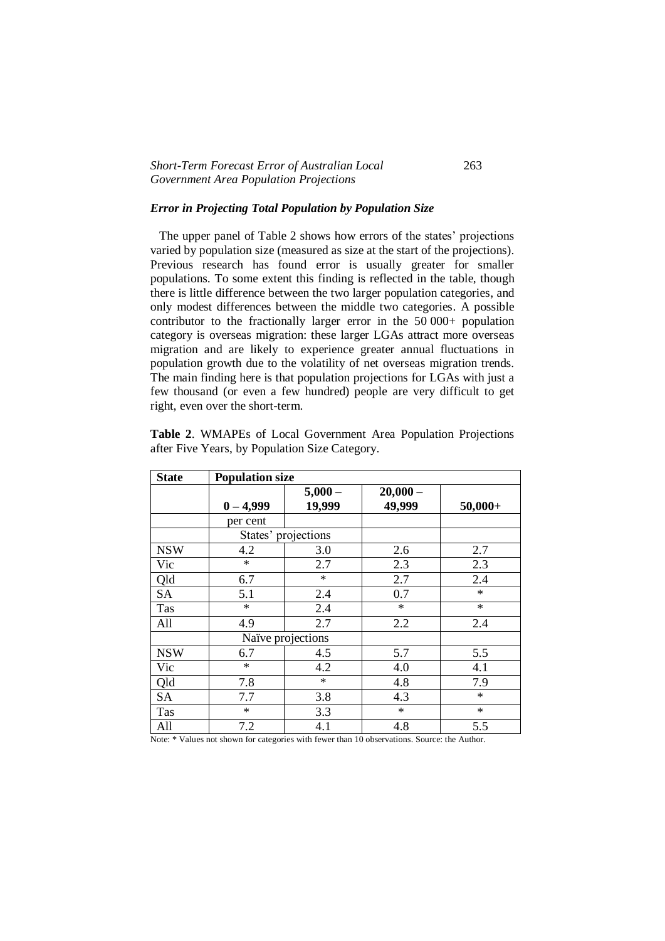# *Short-Term Forecast Error of Australian Local* 263 *Government Area Population Projections*

# *Error in Projecting Total Population by Population Size*

 The upper panel of Table 2 shows how errors of the states' projections varied by population size (measured as size at the start of the projections). Previous research has found error is usually greater for smaller populations. To some extent this finding is reflected in the table, though there is little difference between the two larger population categories, and only modest differences between the middle two categories. A possible contributor to the fractionally larger error in the 50 000+ population category is overseas migration: these larger LGAs attract more overseas migration and are likely to experience greater annual fluctuations in population growth due to the volatility of net overseas migration trends. The main finding here is that population projections for LGAs with just a few thousand (or even a few hundred) people are very difficult to get right, even over the short-term.

|  | Table 2. WMAPEs of Local Government Area Population Projections |  |  |
|--|-----------------------------------------------------------------|--|--|
|  | after Five Years, by Population Size Category.                  |  |  |

| <b>State</b> | <b>Population size</b> |                    |                      |           |
|--------------|------------------------|--------------------|----------------------|-----------|
|              | $0 - 4,999$            | $5,000-$<br>19,999 | $20,000 -$<br>49,999 | $50,000+$ |
|              | per cent               |                    |                      |           |
|              | States' projections    |                    |                      |           |
| <b>NSW</b>   | 4.2                    | 3.0                | 2.6                  | 2.7       |
| Vic          | $\ast$                 | 2.7                | 2.3                  | 2.3       |
| Qld          | 6.7                    | $\star$            | 2.7                  | 2.4       |
| <b>SA</b>    | 5.1                    | 2.4                | 0.7                  | $\ast$    |
| Tas          | $\ast$                 | 2.4                | $\ast$               | $\ast$    |
| All          | 4.9                    | 2.7                | 2.2                  | 2.4       |
|              | Naïve projections      |                    |                      |           |
| <b>NSW</b>   | 6.7                    | 4.5                | 5.7                  | 5.5       |
| Vic          | $\ast$                 | 4.2                | 4.0                  | 4.1       |
| Qld          | 7.8                    | $\star$            | 4.8                  | 7.9       |
| <b>SA</b>    | 7.7                    | 3.8                | 4.3                  | $\ast$    |
| Tas          | $\ast$                 | 3.3                | $\ast$               | $\ast$    |
| All          | 7.2                    | 4.1                | 4.8                  | 5.5       |

Note: \* Values not shown for categories with fewer than 10 observations. Source: the Author.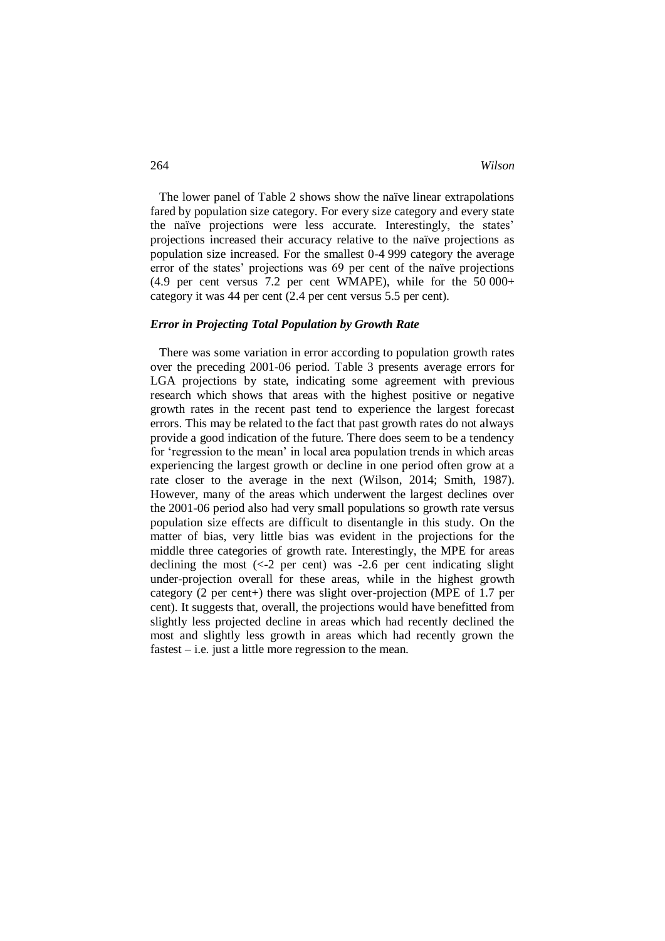The lower panel of Table 2 shows show the naïve linear extrapolations fared by population size category. For every size category and every state the naïve projections were less accurate. Interestingly, the states' projections increased their accuracy relative to the naïve projections as population size increased. For the smallest 0-4 999 category the average error of the states' projections was 69 per cent of the naïve projections  $(4.9$  per cent versus 7.2 per cent WMAPE), while for the 50 000+ category it was 44 per cent (2.4 per cent versus 5.5 per cent).

### *Error in Projecting Total Population by Growth Rate*

 There was some variation in error according to population growth rates over the preceding 2001-06 period. Table 3 presents average errors for LGA projections by state, indicating some agreement with previous research which shows that areas with the highest positive or negative growth rates in the recent past tend to experience the largest forecast errors. This may be related to the fact that past growth rates do not always provide a good indication of the future. There does seem to be a tendency for 'regression to the mean' in local area population trends in which areas experiencing the largest growth or decline in one period often grow at a rate closer to the average in the next (Wilson, 2014; Smith, 1987). However, many of the areas which underwent the largest declines over the 2001-06 period also had very small populations so growth rate versus population size effects are difficult to disentangle in this study. On the matter of bias, very little bias was evident in the projections for the middle three categories of growth rate. Interestingly, the MPE for areas declining the most  $\left(\langle -2 \rangle \right)$  per cent) was  $-2.6$  per cent indicating slight under-projection overall for these areas, while in the highest growth category (2 per cent+) there was slight over-projection (MPE of 1.7 per cent). It suggests that, overall, the projections would have benefitted from slightly less projected decline in areas which had recently declined the most and slightly less growth in areas which had recently grown the fastest – i.e. just a little more regression to the mean.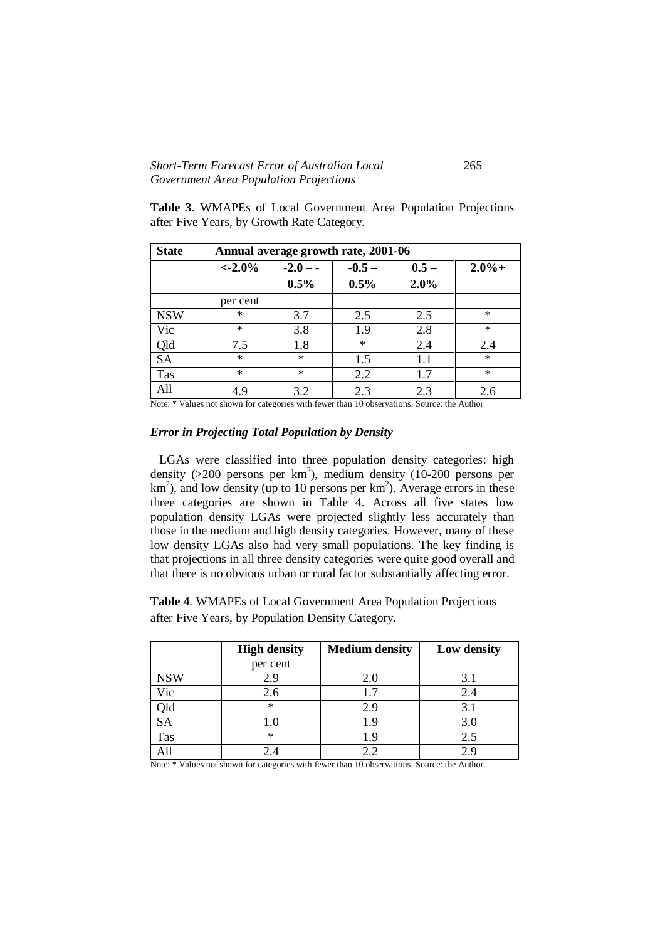# *Short-Term Forecast Error of Australian Local* 265 *Government Area Population Projections*

**Table 3**. WMAPEs of Local Government Area Population Projections after Five Years, by Growth Rate Category.

| <b>State</b> | Annual average growth rate, 2001-06 |            |          |         |          |
|--------------|-------------------------------------|------------|----------|---------|----------|
|              | $< -2.0\%$                          | $-2.0 - -$ | $-0.5 -$ | $0.5 -$ | $2.0% +$ |
|              |                                     | 0.5%       | 0.5%     | 2.0%    |          |
|              | per cent                            |            |          |         |          |
| <b>NSW</b>   | $\ast$                              | 3.7        | 2.5      | 2.5     | $\ast$   |
| Vic          | $\ast$                              | 3.8        | 1.9      | 2.8     | $\ast$   |
| Qld          | 7.5                                 | 1.8        | $\ast$   | 2.4     | 2.4      |
| <b>SA</b>    | $\ast$                              | $*$        | 1.5      | 1.1     | $\ast$   |
| Tas          | $\ast$                              | $\ast$     | 2.2      | 1.7     | $\ast$   |
| All          | 4.9                                 | 3.2        | 2.3      | 2.3     | 2.6      |

Note: \* Values not shown for categories with fewer than 10 observations. Source: the Author

#### *Error in Projecting Total Population by Density*

 LGAs were classified into three population density categories: high density (>200 persons per km<sup>2</sup>), medium density (10-200 persons per  $km<sup>2</sup>$ ), and low density (up to 10 persons per km<sup>2</sup>). Average errors in these three categories are shown in Table 4. Across all five states low population density LGAs were projected slightly less accurately than those in the medium and high density categories. However, many of these low density LGAs also had very small populations. The key finding is that projections in all three density categories were quite good overall and that there is no obvious urban or rural factor substantially affecting error.

**Table 4**. WMAPEs of Local Government Area Population Projections after Five Years, by Population Density Category.

|            | <b>High density</b> | <b>Medium density</b> | Low density |
|------------|---------------------|-----------------------|-------------|
|            | per cent            |                       |             |
| <b>NSW</b> | 2.9                 | 2.0                   | 3.1         |
| Vic        | 2.6                 |                       | 2.4         |
| <b>QlC</b> | $\ast$              | 2.9                   | 3.1         |
| <b>SA</b>  | . U                 |                       | 3.0         |
| Tas        | $\ast$              |                       | 2.5         |
|            |                     |                       | οq          |

Note: \* Values not shown for categories with fewer than 10 observations. Source: the Author.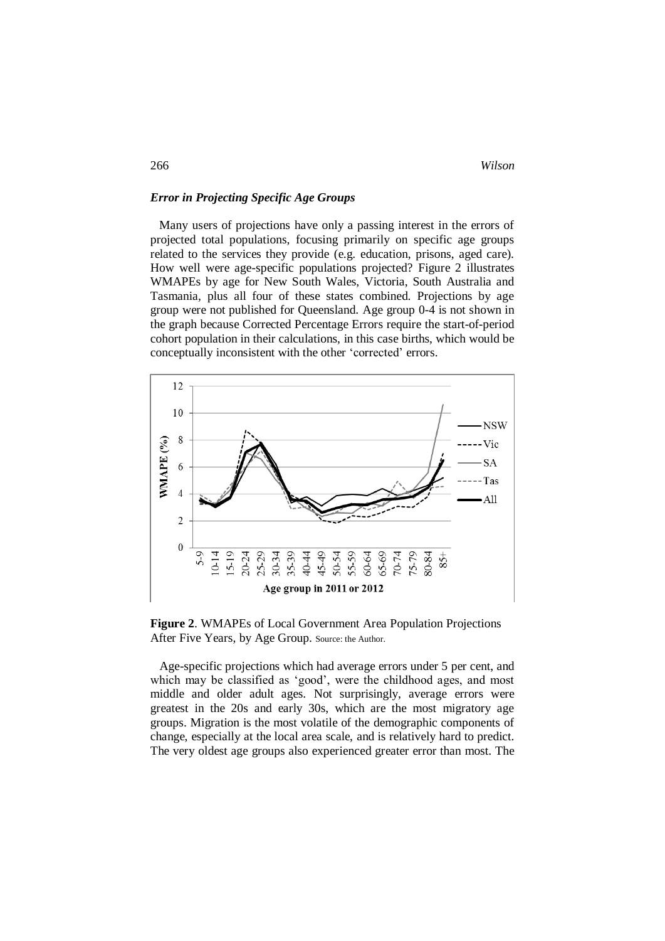### *Error in Projecting Specific Age Groups*

 Many users of projections have only a passing interest in the errors of projected total populations, focusing primarily on specific age groups related to the services they provide (e.g. education, prisons, aged care). How well were age-specific populations projected? Figure 2 illustrates WMAPEs by age for New South Wales, Victoria, South Australia and Tasmania, plus all four of these states combined. Projections by age group were not published for Queensland. Age group 0-4 is not shown in the graph because Corrected Percentage Errors require the start-of-period cohort population in their calculations, in this case births, which would be conceptually inconsistent with the other 'corrected' errors.



**Figure 2**. WMAPEs of Local Government Area Population Projections After Five Years, by Age Group. Source: the Author.

 Age-specific projections which had average errors under 5 per cent, and which may be classified as 'good', were the childhood ages, and most middle and older adult ages. Not surprisingly, average errors were greatest in the 20s and early 30s, which are the most migratory age groups. Migration is the most volatile of the demographic components of change, especially at the local area scale, and is relatively hard to predict. The very oldest age groups also experienced greater error than most. The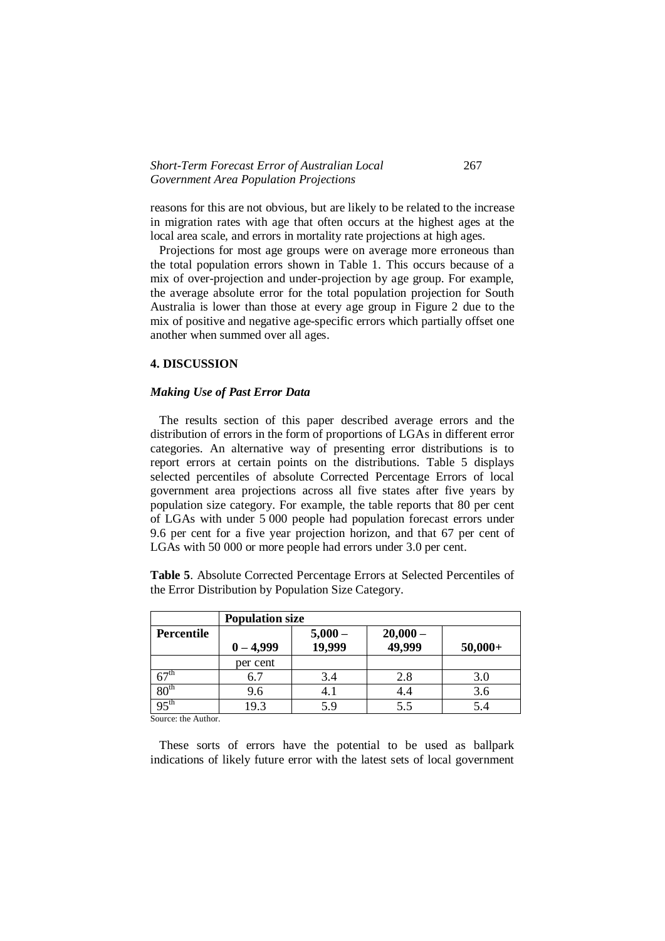## *Short-Term Forecast Error of Australian Local* 267 *Government Area Population Projections*

reasons for this are not obvious, but are likely to be related to the increase in migration rates with age that often occurs at the highest ages at the local area scale, and errors in mortality rate projections at high ages.

 Projections for most age groups were on average more erroneous than the total population errors shown in Table 1. This occurs because of a mix of over-projection and under-projection by age group. For example, the average absolute error for the total population projection for South Australia is lower than those at every age group in Figure 2 due to the mix of positive and negative age-specific errors which partially offset one another when summed over all ages.

#### **4. DISCUSSION**

### *Making Use of Past Error Data*

 The results section of this paper described average errors and the distribution of errors in the form of proportions of LGAs in different error categories. An alternative way of presenting error distributions is to report errors at certain points on the distributions. Table 5 displays selected percentiles of absolute Corrected Percentage Errors of local government area projections across all five states after five years by population size category. For example, the table reports that 80 per cent of LGAs with under 5 000 people had population forecast errors under 9.6 per cent for a five year projection horizon, and that 67 per cent of LGAs with 50 000 or more people had errors under 3.0 per cent.

**Table 5**. Absolute Corrected Percentage Errors at Selected Percentiles of the Error Distribution by Population Size Category.

|                   | <b>Population size</b> |                |                     |           |
|-------------------|------------------------|----------------|---------------------|-----------|
| <b>Percentile</b> | $0 - 4,999$            | $5,000-19,999$ | $20,000-$<br>49,999 |           |
|                   |                        |                |                     | $50,000+$ |
|                   | per cent               |                |                     |           |
| 67 <sup>th</sup>  | 6.7                    | 3.4            | 2.8                 | 3.0       |
| 80 <sup>th</sup>  | 9.6                    | 4.1            | 4.4                 | 3.6       |
| 95 <sup>th</sup>  | 19.3                   | 5.9            | 5.5                 | 5.4       |

Source: the Author.

 These sorts of errors have the potential to be used as ballpark indications of likely future error with the latest sets of local government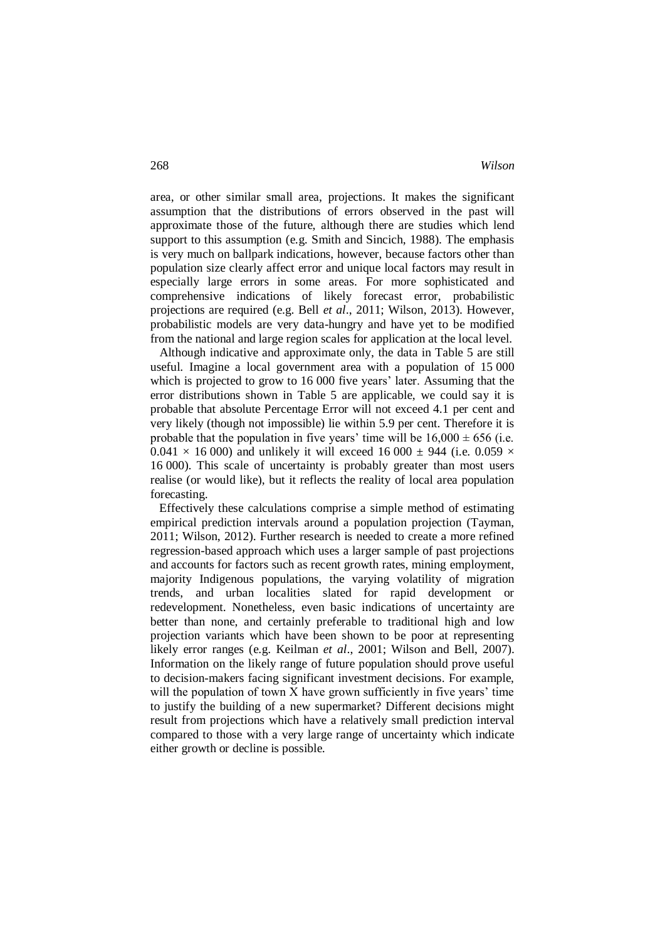area, or other similar small area, projections. It makes the significant assumption that the distributions of errors observed in the past will approximate those of the future, although there are studies which lend support to this assumption (e.g. Smith and Sincich, 1988). The emphasis is very much on ballpark indications, however, because factors other than population size clearly affect error and unique local factors may result in especially large errors in some areas. For more sophisticated and comprehensive indications of likely forecast error, probabilistic projections are required (e.g. Bell *et al*., 2011; Wilson, 2013). However, probabilistic models are very data-hungry and have yet to be modified from the national and large region scales for application at the local level.

 Although indicative and approximate only, the data in Table 5 are still useful. Imagine a local government area with a population of 15 000 which is projected to grow to 16 000 five years' later. Assuming that the error distributions shown in Table 5 are applicable, we could say it is probable that absolute Percentage Error will not exceed 4.1 per cent and very likely (though not impossible) lie within 5.9 per cent. Therefore it is probable that the population in five years' time will be  $16,000 \pm 656$  (i.e.  $0.041 \times 16000$  and unlikely it will exceed 16000  $\pm$  944 (i.e. 0.059  $\times$ 16 000). This scale of uncertainty is probably greater than most users realise (or would like), but it reflects the reality of local area population forecasting.

 Effectively these calculations comprise a simple method of estimating empirical prediction intervals around a population projection (Tayman, 2011; Wilson, 2012). Further research is needed to create a more refined regression-based approach which uses a larger sample of past projections and accounts for factors such as recent growth rates, mining employment, majority Indigenous populations, the varying volatility of migration trends, and urban localities slated for rapid development or redevelopment. Nonetheless, even basic indications of uncertainty are better than none, and certainly preferable to traditional high and low projection variants which have been shown to be poor at representing likely error ranges (e.g. Keilman *et al*., 2001; Wilson and Bell, 2007). Information on the likely range of future population should prove useful to decision-makers facing significant investment decisions. For example, will the population of town X have grown sufficiently in five years' time to justify the building of a new supermarket? Different decisions might result from projections which have a relatively small prediction interval compared to those with a very large range of uncertainty which indicate either growth or decline is possible.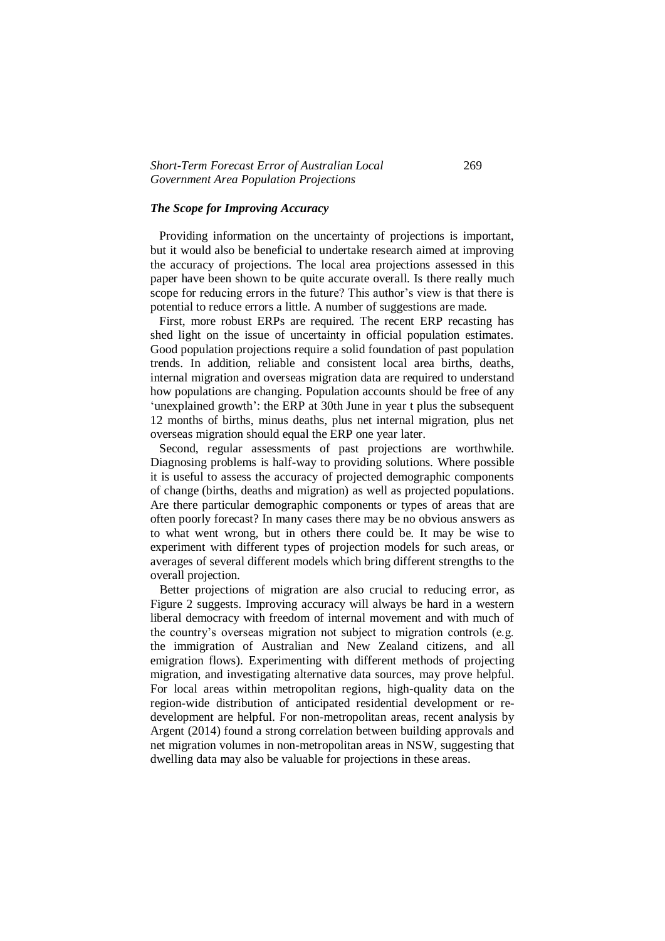# *Short-Term Forecast Error of Australian Local* 269 *Government Area Population Projections*

#### *The Scope for Improving Accuracy*

 Providing information on the uncertainty of projections is important, but it would also be beneficial to undertake research aimed at improving the accuracy of projections. The local area projections assessed in this paper have been shown to be quite accurate overall. Is there really much scope for reducing errors in the future? This author's view is that there is potential to reduce errors a little. A number of suggestions are made.

 First, more robust ERPs are required. The recent ERP recasting has shed light on the issue of uncertainty in official population estimates. Good population projections require a solid foundation of past population trends. In addition, reliable and consistent local area births, deaths, internal migration and overseas migration data are required to understand how populations are changing. Population accounts should be free of any 'unexplained growth': the ERP at 30th June in year t plus the subsequent 12 months of births, minus deaths, plus net internal migration, plus net overseas migration should equal the ERP one year later.

Second, regular assessments of past projections are worthwhile. Diagnosing problems is half-way to providing solutions. Where possible it is useful to assess the accuracy of projected demographic components of change (births, deaths and migration) as well as projected populations. Are there particular demographic components or types of areas that are often poorly forecast? In many cases there may be no obvious answers as to what went wrong, but in others there could be. It may be wise to experiment with different types of projection models for such areas, or averages of several different models which bring different strengths to the overall projection.

 Better projections of migration are also crucial to reducing error, as Figure 2 suggests. Improving accuracy will always be hard in a western liberal democracy with freedom of internal movement and with much of the country's overseas migration not subject to migration controls (e.g. the immigration of Australian and New Zealand citizens, and all emigration flows). Experimenting with different methods of projecting migration, and investigating alternative data sources, may prove helpful. For local areas within metropolitan regions, high-quality data on the region-wide distribution of anticipated residential development or redevelopment are helpful. For non-metropolitan areas, recent analysis by Argent (2014) found a strong correlation between building approvals and net migration volumes in non-metropolitan areas in NSW, suggesting that dwelling data may also be valuable for projections in these areas.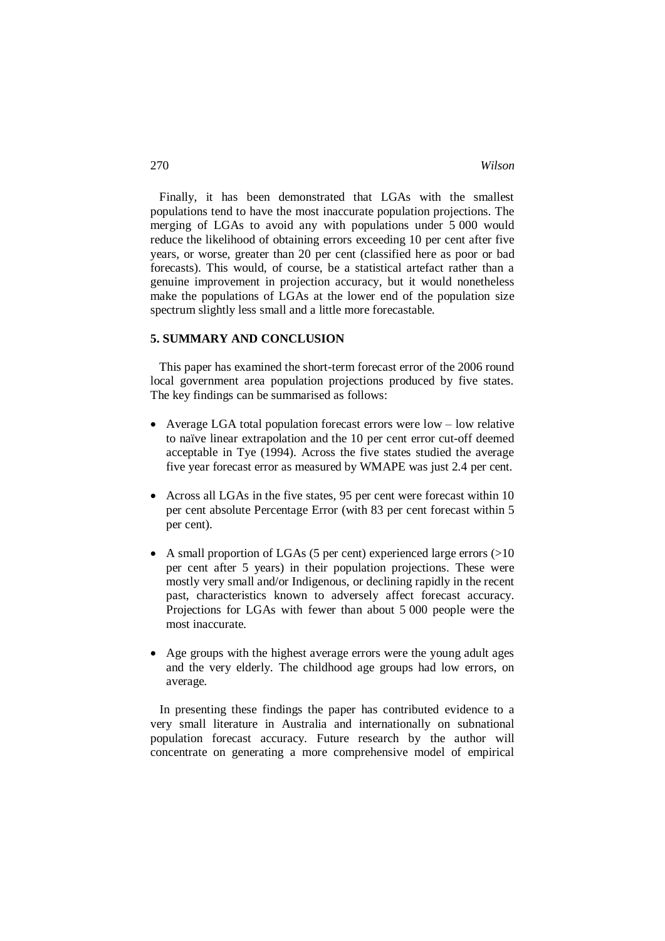Finally, it has been demonstrated that LGAs with the smallest populations tend to have the most inaccurate population projections. The merging of LGAs to avoid any with populations under 5 000 would reduce the likelihood of obtaining errors exceeding 10 per cent after five years, or worse, greater than 20 per cent (classified here as poor or bad forecasts). This would, of course, be a statistical artefact rather than a genuine improvement in projection accuracy, but it would nonetheless make the populations of LGAs at the lower end of the population size spectrum slightly less small and a little more forecastable.

#### **5. SUMMARY AND CONCLUSION**

 This paper has examined the short-term forecast error of the 2006 round local government area population projections produced by five states. The key findings can be summarised as follows:

- Average LGA total population forecast errors were low low relative to naïve linear extrapolation and the 10 per cent error cut-off deemed acceptable in Tye (1994). Across the five states studied the average five year forecast error as measured by WMAPE was just 2.4 per cent.
- Across all LGAs in the five states, 95 per cent were forecast within 10 per cent absolute Percentage Error (with 83 per cent forecast within 5 per cent).
- A small proportion of LGAs (5 per cent) experienced large errors  $(>10$ per cent after 5 years) in their population projections. These were mostly very small and/or Indigenous, or declining rapidly in the recent past, characteristics known to adversely affect forecast accuracy. Projections for LGAs with fewer than about 5 000 people were the most inaccurate.
- Age groups with the highest average errors were the young adult ages and the very elderly. The childhood age groups had low errors, on average.

 In presenting these findings the paper has contributed evidence to a very small literature in Australia and internationally on subnational population forecast accuracy. Future research by the author will concentrate on generating a more comprehensive model of empirical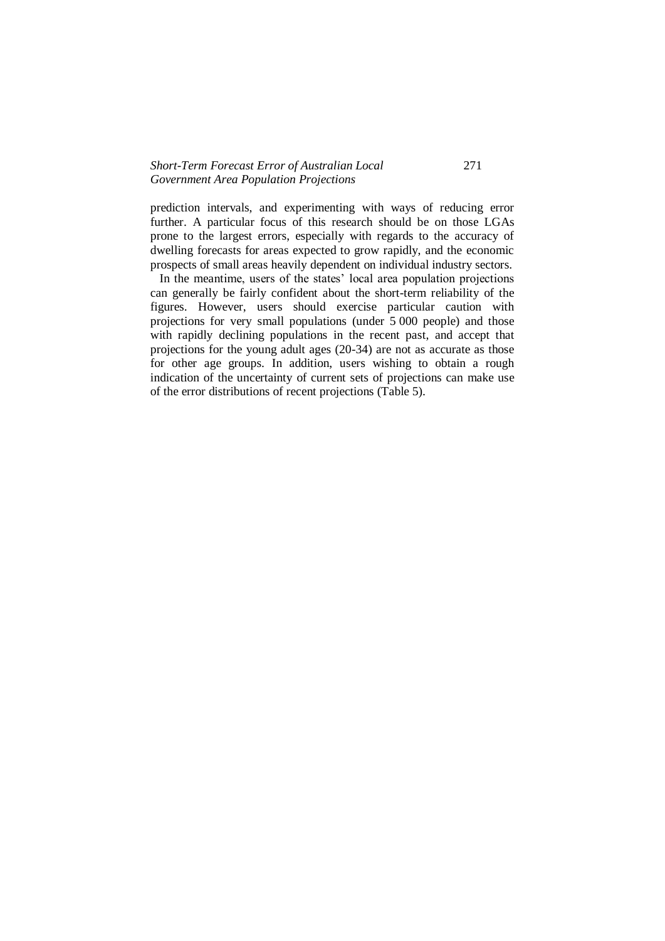# *Short-Term Forecast Error of Australian Local* 271 *Government Area Population Projections*

prediction intervals, and experimenting with ways of reducing error further. A particular focus of this research should be on those LGAs prone to the largest errors, especially with regards to the accuracy of dwelling forecasts for areas expected to grow rapidly, and the economic prospects of small areas heavily dependent on individual industry sectors.

 In the meantime, users of the states' local area population projections can generally be fairly confident about the short-term reliability of the figures. However, users should exercise particular caution with projections for very small populations (under 5 000 people) and those with rapidly declining populations in the recent past, and accept that projections for the young adult ages (20-34) are not as accurate as those for other age groups. In addition, users wishing to obtain a rough indication of the uncertainty of current sets of projections can make use of the error distributions of recent projections (Table 5).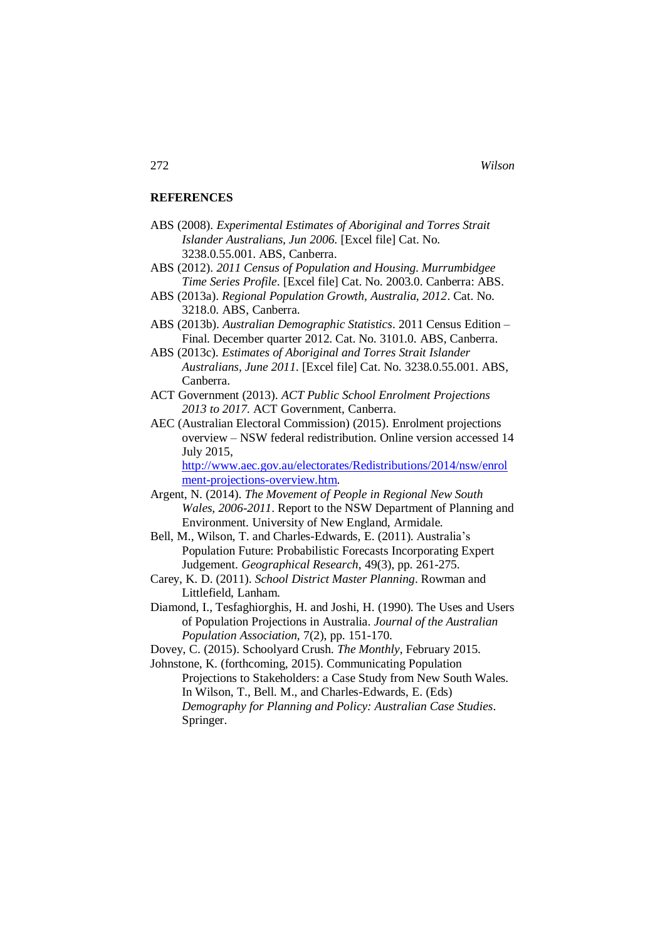#### **REFERENCES**

- ABS (2008). *Experimental Estimates of Aboriginal and Torres Strait Islander Australians, Jun 2006*. [Excel file] Cat. No. 3238.0.55.001. ABS, Canberra.
- ABS (2012). *2011 Census of Population and Housing. Murrumbidgee Time Series Profile*. [Excel file] Cat. No. 2003.0. Canberra: ABS.
- ABS (2013a). *Regional Population Growth, Australia, 2012*. Cat. No. 3218.0. ABS, Canberra.
- ABS (2013b). *Australian Demographic Statistics*. 2011 Census Edition Final. December quarter 2012. Cat. No. 3101.0. ABS, Canberra.
- ABS (2013c). *Estimates of Aboriginal and Torres Strait Islander Australians, June 2011*. [Excel file] Cat. No. 3238.0.55.001. ABS, Canberra.
- ACT Government (2013). *ACT Public School Enrolment Projections 2013 to 2017*. ACT Government, Canberra.
- AEC (Australian Electoral Commission) (2015). Enrolment projections overview – NSW federal redistribution. Online version accessed 14 July 2015,

[http://www.aec.gov.au/electorates/Redistributions/2014/nsw/enrol](http://www.aec.gov.au/electorates/Redistributions/2014/nsw/enrolment-projections-overview.htm) [ment-projections-overview.htm.](http://www.aec.gov.au/electorates/Redistributions/2014/nsw/enrolment-projections-overview.htm)

- Argent, N. (2014). *The Movement of People in Regional New South Wales, 2006-2011*. Report to the NSW Department of Planning and Environment. University of New England, Armidale.
- Bell, M., Wilson, T. and Charles-Edwards, E. (2011). Australia's Population Future: Probabilistic Forecasts Incorporating Expert Judgement. *Geographical Research*, 49(3), pp. 261-275.
- Carey, K. D. (2011). *School District Master Planning*. Rowman and Littlefield, Lanham.
- Diamond, I., Tesfaghiorghis, H. and Joshi, H. (1990). The Uses and Users of Population Projections in Australia. *Journal of the Australian Population Association*, 7(2), pp. 151-170.
- Dovey, C. (2015). Schoolyard Crush. *The Monthly*, February 2015.

Johnstone, K. (forthcoming, 2015). Communicating Population Projections to Stakeholders: a Case Study from New South Wales. In Wilson, T., Bell. M., and Charles-Edwards, E. (Eds) *Demography for Planning and Policy: Australian Case Studies*. Springer.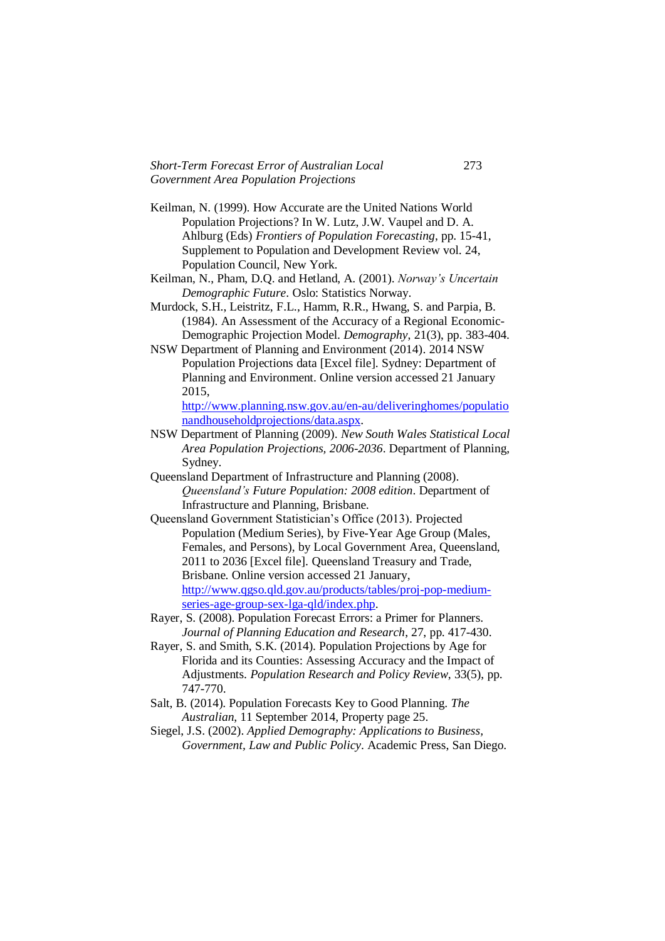- Keilman, N. (1999). How Accurate are the United Nations World Population Projections? In W. Lutz, J.W. Vaupel and D. A. Ahlburg (Eds) *Frontiers of Population Forecasting*, pp. 15-41, Supplement to Population and Development Review vol. 24, Population Council, New York.
- Keilman, N., Pham, D.Q. and Hetland, A. (2001). *Norway's Uncertain Demographic Future*. Oslo: Statistics Norway.
- Murdock, S.H., Leistritz, F.L., Hamm, R.R., Hwang, S. and Parpia, B. (1984). An Assessment of the Accuracy of a Regional Economic-Demographic Projection Model. *Demography*, 21(3), pp. 383-404.
- NSW Department of Planning and Environment (2014). 2014 NSW Population Projections data [Excel file]. Sydney: Department of Planning and Environment. Online version accessed 21 January 2015,

[http://www.planning.nsw.gov.au/en-au/deliveringhomes/populatio](http://www.planning.nsw.gov.au/enau/deliveringhomes/populationandhouseholdprojections/data.aspx) [nandhouseholdprojections/data.aspx.](http://www.planning.nsw.gov.au/enau/deliveringhomes/populationandhouseholdprojections/data.aspx)

- NSW Department of Planning (2009). *New South Wales Statistical Local Area Population Projections, 2006-2036*. Department of Planning, Sydney.
- Queensland Department of Infrastructure and Planning (2008). *Queensland's Future Population: 2008 edition*. Department of Infrastructure and Planning, Brisbane.
- Queensland Government Statistician's Office (2013). Projected Population (Medium Series), by Five-Year Age Group (Males, Females, and Persons), by Local Government Area, Queensland, 2011 to 2036 [Excel file]. Queensland Treasury and Trade, Brisbane. Online version accessed 21 January, [http://www.qgso.qld.gov.au/products/tables/proj-pop-medium](http://www.qgso.qld.gov.au/products/tables/proj-pop-medium-series-age-group-sex-lga-qld/index.php)[series-age-group-sex-lga-qld/index.php.](http://www.qgso.qld.gov.au/products/tables/proj-pop-medium-series-age-group-sex-lga-qld/index.php)
- Rayer, S. (2008). Population Forecast Errors: a Primer for Planners. *Journal of Planning Education and Research*, 27, pp. 417-430.
- Rayer, S. and Smith, S.K. (2014). Population Projections by Age for Florida and its Counties: Assessing Accuracy and the Impact of Adjustments. *Population Research and Policy Review*, 33(5), pp. 747-770.
- Salt, B. (2014). Population Forecasts Key to Good Planning. *The Australian*, 11 September 2014, Property page 25.
- Siegel, J.S. (2002). *Applied Demography: Applications to Business, Government, Law and Public Policy*. Academic Press, San Diego.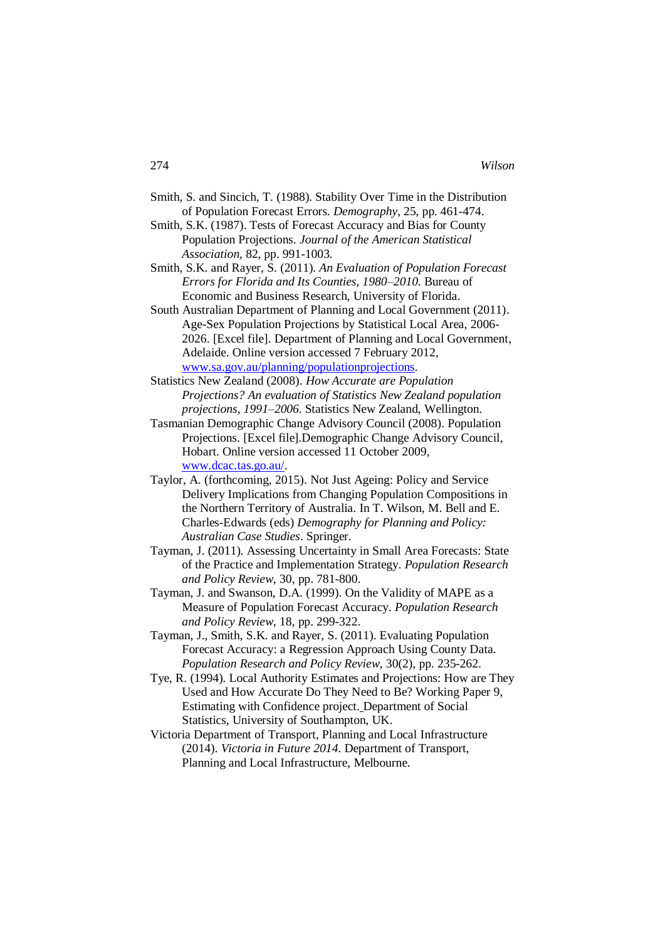| Smith, S. and Sincich, T. (1988). Stability Over Time in the Distribution |
|---------------------------------------------------------------------------|
| of Population Forecast Errors. Demography, 25, pp. 461-474.               |

Smith, S.K. (1987). Tests of Forecast Accuracy and Bias for County Population Projections. *Journal of the American Statistical Association*, 82, pp. 991-1003.

Smith, S.K. and Rayer, S. (2011). *An Evaluation of Population Forecast Errors for Florida and Its Counties, 1980–2010*. Bureau of Economic and Business Research, University of Florida.

- South Australian Department of Planning and Local Government (2011). Age-Sex Population Projections by Statistical Local Area, 2006- 2026. [Excel file]. Department of Planning and Local Government, Adelaide. Online version accessed 7 February 2012, [www.sa.gov.au/planning/populationprojections.](http://www.sa.gov.au/planning/populationprojections)
- Statistics New Zealand (2008). *How Accurate are Population Projections? An evaluation of Statistics New Zealand population projections, 1991–2006*. Statistics New Zealand, Wellington.
- Tasmanian Demographic Change Advisory Council (2008). Population Projections. [Excel file].Demographic Change Advisory Council, Hobart. Online version accessed 11 October 2009, [www.dcac.tas.go.au/.](http://www.dcac.tas.go.au/)
- Taylor, A. (forthcoming, 2015). Not Just Ageing: Policy and Service Delivery Implications from Changing Population Compositions in the Northern Territory of Australia. In T. Wilson, M. Bell and E. Charles-Edwards (eds) *Demography for Planning and Policy: Australian Case Studies*. Springer.
- Tayman, J. (2011). Assessing Uncertainty in Small Area Forecasts: State of the Practice and Implementation Strategy. *Population Research and Policy Review*, 30, pp. 781-800.
- Tayman, J. and Swanson, D.A. (1999). On the Validity of MAPE as a Measure of Population Forecast Accuracy. *Population Research and Policy Review*, 18, pp. 299-322.
- Tayman, J., Smith, S.K. and Rayer, S. (2011). Evaluating Population Forecast Accuracy: a Regression Approach Using County Data. *Population Research and Policy Review*, 30(2), pp. 235-262.
- Tye, R. (1994). Local Authority Estimates and Projections: How are They Used and How Accurate Do They Need to Be? Working Paper 9, Estimating with Confidence project. Department of Social Statistics, University of Southampton, UK.
- Victoria Department of Transport, Planning and Local Infrastructure (2014). *Victoria in Future 2014*. Department of Transport, Planning and Local Infrastructure, Melbourne.